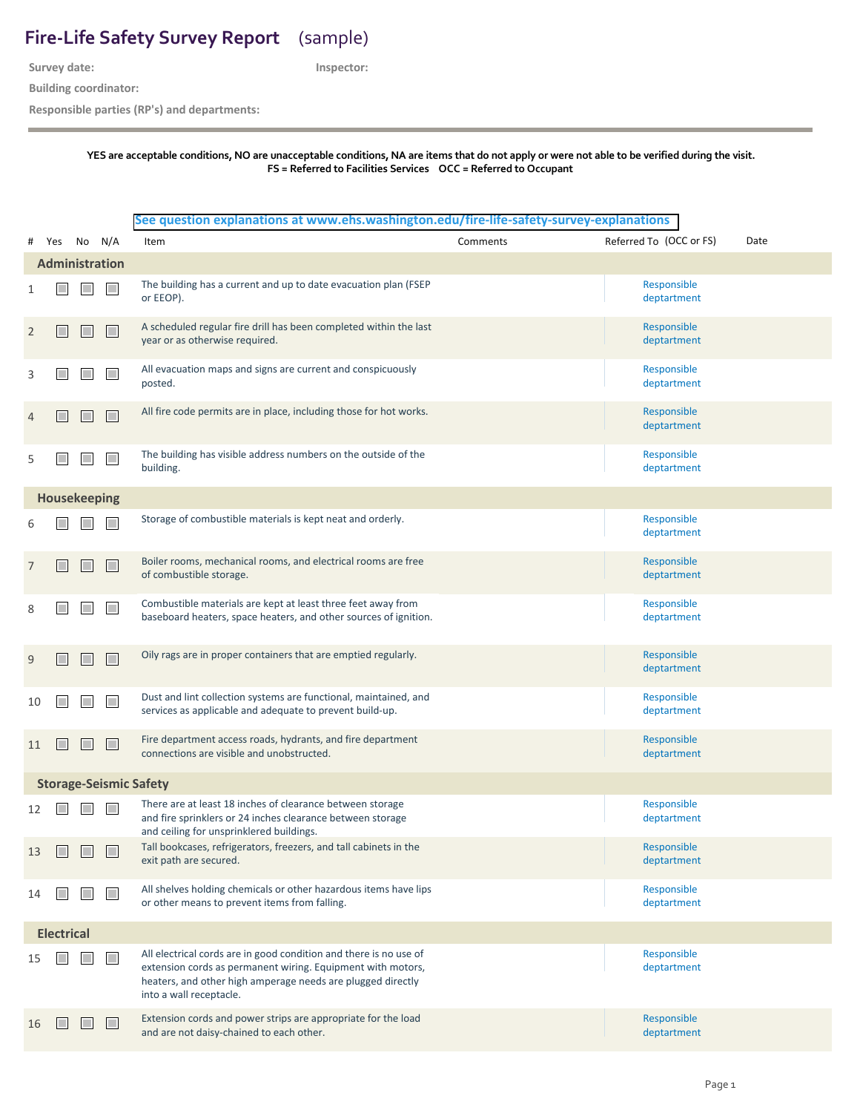## **Fire-Life Safety Survey Report**  (sample)

**Survey date:**

**Inspector:**

**Building coordinator:**

**Responsible parties (RP's) and departments:**

## **YES are acceptable conditions, NO are unacceptable conditions, NA are items that do not apply or were not able to be verified during the visit. FS = Referred to Facilities Services OCC = Referred to Occupant**

## **[See question explanations at www.ehs.washington.edu/](https://www.ehs.washington.edu/fire-life-safety-survey-explanations)fire-life-safety-survey-explanations**

| #                     | Yes                           |  | No N/A                      | Item                                                                                                                                                                                                                       | Comments | Referred To (OCC or FS)    | Date |  |
|-----------------------|-------------------------------|--|-----------------------------|----------------------------------------------------------------------------------------------------------------------------------------------------------------------------------------------------------------------------|----------|----------------------------|------|--|
| <b>Administration</b> |                               |  |                             |                                                                                                                                                                                                                            |          |                            |      |  |
|                       |                               |  | $\mathcal{L}_{\mathcal{A}}$ | The building has a current and up to date evacuation plan (FSEP<br>or EEOP).                                                                                                                                               |          | Responsible<br>deptartment |      |  |
| 2                     |                               |  | $\mathcal{L}_{\mathcal{A}}$ | A scheduled regular fire drill has been completed within the last<br>year or as otherwise required.                                                                                                                        |          | Responsible<br>deptartment |      |  |
| 3                     |                               |  | П                           | All evacuation maps and signs are current and conspicuously<br>posted.                                                                                                                                                     |          | Responsible<br>deptartment |      |  |
| 4                     |                               |  | M.                          | All fire code permits are in place, including those for hot works.                                                                                                                                                         |          | Responsible<br>deptartment |      |  |
| 5                     |                               |  | $\Box$                      | The building has visible address numbers on the outside of the<br>building.                                                                                                                                                |          | Responsible<br>deptartment |      |  |
|                       | Housekeeping                  |  |                             |                                                                                                                                                                                                                            |          |                            |      |  |
|                       |                               |  |                             | Storage of combustible materials is kept neat and orderly.                                                                                                                                                                 |          | Responsible<br>deptartment |      |  |
| 7                     |                               |  | $\mathcal{L}_{\mathcal{A}}$ | Boiler rooms, mechanical rooms, and electrical rooms are free<br>of combustible storage.                                                                                                                                   |          | Responsible<br>deptartment |      |  |
| 8                     |                               |  | П                           | Combustible materials are kept at least three feet away from<br>baseboard heaters, space heaters, and other sources of ignition.                                                                                           |          | Responsible<br>deptartment |      |  |
| 9                     |                               |  | $\mathcal{C}^{\mathcal{A}}$ | Oily rags are in proper containers that are emptied regularly.                                                                                                                                                             |          | Responsible<br>deptartment |      |  |
| 10                    |                               |  | $\mathcal{L}_{\mathcal{A}}$ | Dust and lint collection systems are functional, maintained, and<br>services as applicable and adequate to prevent build-up.                                                                                               |          | Responsible<br>deptartment |      |  |
| 11                    |                               |  | $\mathcal{L}_{\mathcal{A}}$ | Fire department access roads, hydrants, and fire department<br>connections are visible and unobstructed.                                                                                                                   |          | Responsible<br>deptartment |      |  |
|                       | <b>Storage-Seismic Safety</b> |  |                             |                                                                                                                                                                                                                            |          |                            |      |  |
| 12                    |                               |  |                             | There are at least 18 inches of clearance between storage<br>and fire sprinklers or 24 inches clearance between storage<br>and ceiling for unsprinklered buildings.                                                        |          | Responsible<br>deptartment |      |  |
| 13                    |                               |  |                             | Tall bookcases, refrigerators, freezers, and tall cabinets in the<br>exit path are secured.                                                                                                                                |          | Responsible<br>deptartment |      |  |
| 14                    |                               |  | H                           | All shelves holding chemicals or other hazardous items have lips<br>or other means to prevent items from falling.                                                                                                          |          | Responsible<br>deptartment |      |  |
|                       | <b>Electrical</b>             |  |                             |                                                                                                                                                                                                                            |          |                            |      |  |
| 15                    |                               |  | $\Box$                      | All electrical cords are in good condition and there is no use of<br>extension cords as permanent wiring. Equipment with motors,<br>heaters, and other high amperage needs are plugged directly<br>into a wall receptacle. |          | Responsible<br>deptartment |      |  |
| 16                    |                               |  | $\Box$                      | Extension cords and power strips are appropriate for the load<br>and are not daisy-chained to each other.                                                                                                                  |          | Responsible<br>deptartment |      |  |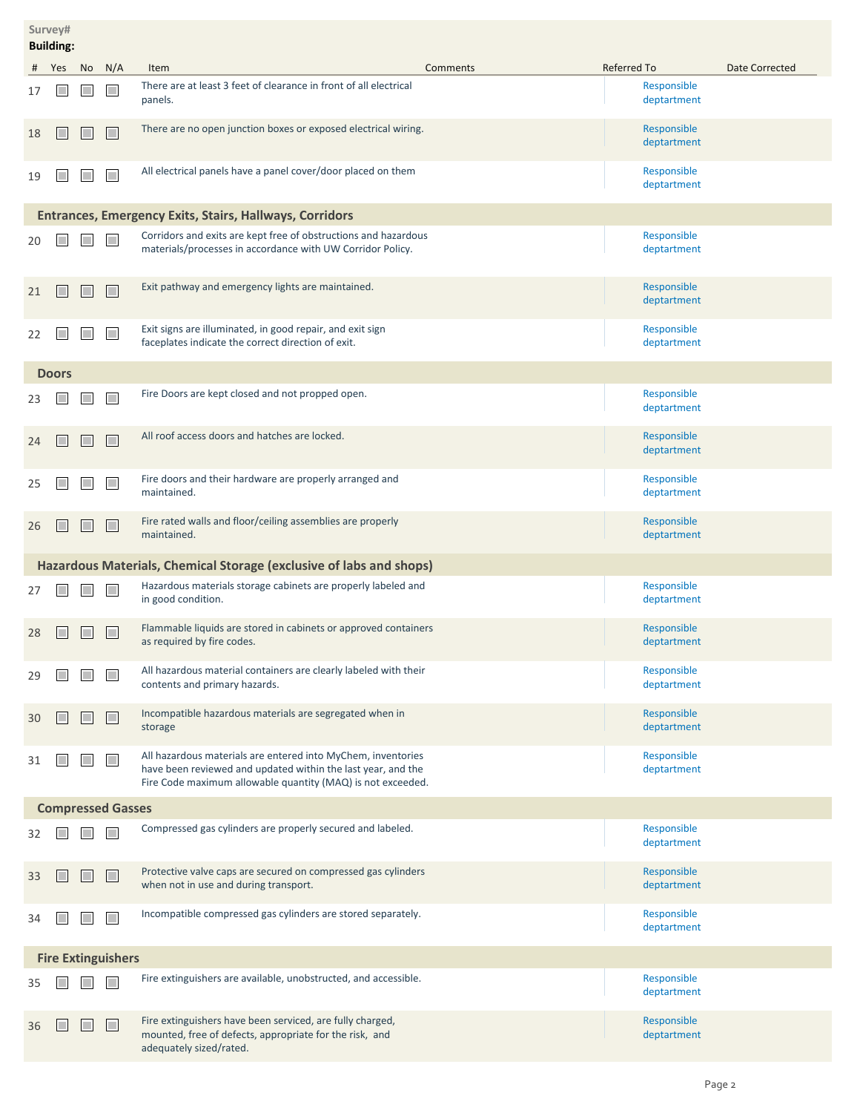| Survey#<br><b>Building:</b> |              |        |              |                                                                                                                                                                                             |                            |                |  |  |
|-----------------------------|--------------|--------|--------------|---------------------------------------------------------------------------------------------------------------------------------------------------------------------------------------------|----------------------------|----------------|--|--|
| #                           | Yes          | No     | N/A          | Item<br>Comments                                                                                                                                                                            | Referred To                | Date Corrected |  |  |
| 17                          |              |        | H            | There are at least 3 feet of clearance in front of all electrical<br>panels.                                                                                                                | Responsible<br>deptartment |                |  |  |
| 18                          |              |        |              | There are no open junction boxes or exposed electrical wiring.                                                                                                                              | Responsible<br>deptartment |                |  |  |
| 19                          |              |        | <b>IT IS</b> | All electrical panels have a panel cover/door placed on them                                                                                                                                | Responsible<br>deptartment |                |  |  |
|                             |              |        |              | <b>Entrances, Emergency Exits, Stairs, Hallways, Corridors</b>                                                                                                                              |                            |                |  |  |
| 20                          |              |        |              | Corridors and exits are kept free of obstructions and hazardous<br>materials/processes in accordance with UW Corridor Policy.                                                               | Responsible<br>deptartment |                |  |  |
| 21                          |              | T.     | H            | Exit pathway and emergency lights are maintained.                                                                                                                                           | Responsible<br>deptartment |                |  |  |
| 22                          |              |        |              | Exit signs are illuminated, in good repair, and exit sign<br>faceplates indicate the correct direction of exit.                                                                             | Responsible<br>deptartment |                |  |  |
|                             | <b>Doors</b> |        |              |                                                                                                                                                                                             |                            |                |  |  |
| 23                          |              |        |              | Fire Doors are kept closed and not propped open.                                                                                                                                            | Responsible<br>deptartment |                |  |  |
| 24                          |              | $\Box$ | H            | All roof access doors and hatches are locked.                                                                                                                                               | Responsible<br>deptartment |                |  |  |
| 25                          |              |        |              | Fire doors and their hardware are properly arranged and<br>maintained.                                                                                                                      | Responsible<br>deptartment |                |  |  |
| 26                          |              |        |              | Fire rated walls and floor/ceiling assemblies are properly<br>maintained.                                                                                                                   | Responsible<br>deptartment |                |  |  |
|                             |              |        |              | Hazardous Materials, Chemical Storage (exclusive of labs and shops)                                                                                                                         |                            |                |  |  |
| 27                          |              |        |              | Hazardous materials storage cabinets are properly labeled and<br>in good condition.                                                                                                         | Responsible<br>deptartment |                |  |  |
| 28                          |              |        |              | Flammable liquids are stored in cabinets or approved containers<br>as required by fire codes.                                                                                               | Responsible<br>deptartment |                |  |  |
| 29                          |              |        |              | All hazardous material containers are clearly labeled with their<br>contents and primary hazards.                                                                                           | Responsible<br>deptartment |                |  |  |
| 30                          |              |        |              | Incompatible hazardous materials are segregated when in<br>storage                                                                                                                          | Responsible<br>deptartment |                |  |  |
| 31                          |              |        | <b>IT IS</b> | All hazardous materials are entered into MyChem, inventories<br>have been reviewed and updated within the last year, and the<br>Fire Code maximum allowable quantity (MAQ) is not exceeded. | Responsible<br>deptartment |                |  |  |
| <b>Compressed Gasses</b>    |              |        |              |                                                                                                                                                                                             |                            |                |  |  |
| 32                          |              |        |              | Compressed gas cylinders are properly secured and labeled.                                                                                                                                  | Responsible<br>deptartment |                |  |  |
| 33                          |              | T.     | H            | Protective valve caps are secured on compressed gas cylinders<br>when not in use and during transport.                                                                                      | Responsible<br>deptartment |                |  |  |
| 34                          |              |        |              | Incompatible compressed gas cylinders are stored separately.                                                                                                                                | Responsible<br>deptartment |                |  |  |
| <b>Fire Extinguishers</b>   |              |        |              |                                                                                                                                                                                             |                            |                |  |  |
| 35                          |              |        |              | Fire extinguishers are available, unobstructed, and accessible.                                                                                                                             | Responsible<br>deptartment |                |  |  |
| 36                          |              |        |              | Fire extinguishers have been serviced, are fully charged,<br>mounted, free of defects, appropriate for the risk, and<br>adequately sized/rated.                                             | Responsible<br>deptartment |                |  |  |